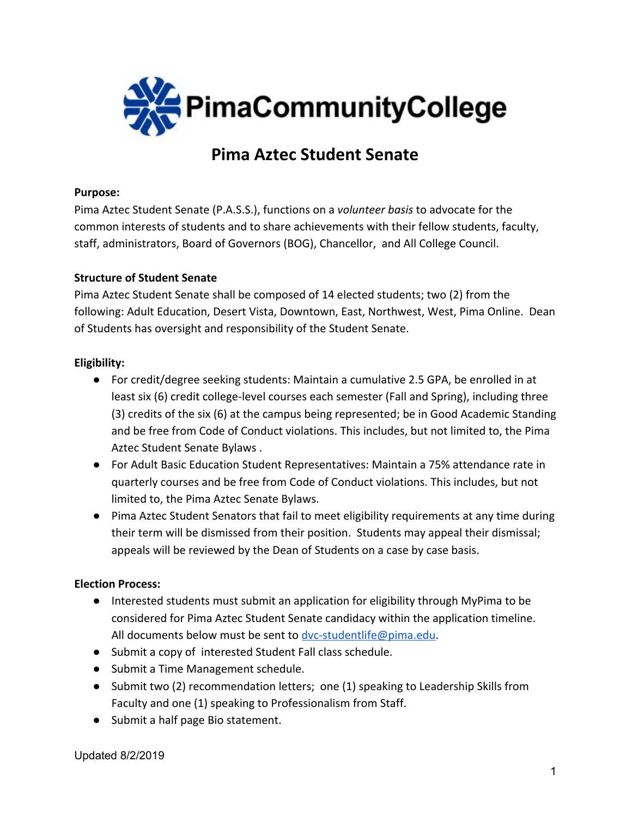

# **Pima Aztec Student Senate**

### **Purpose:**

Pima Aztec Student Senate (P.A.S.S.), functions on a *volunteer basis* to advocate for the common interests of students and to share achievements with their fellow students, faculty, staff, administrators, Board of Governors (BOG), Chancellor, and All College Council.

### **Structure of Student Senate**

Pima Aztec Student Senate shall be composed of 14 elected students; two (2) from the following: Adult Education, Desert Vista, Downtown, East, Northwest, West, Pima Online. Dean of Students has oversight and responsibility of the Student Senate.

### **Eligibility:**

- For credit/degree seeking students: Maintain a cumulative 2.5 GPA, be enrolled in at least six (6) credit college-level courses each semester (Fall and Spring), including three (3) credits of the six (6) at the campus being represented; be in Good Academic Standing and be free from Code of Conduct violations. This includes, but not limited to, the Pima Aztec Student Senate Bylaws .
- For Adult Basic Education Student Representatives: Maintain a 75% attendance rate in quarterly courses and be free from Code of Conduct violations. This includes, but not limited to, the Pima Aztec Senate Bylaws.
- Pima Aztec Student Senators that fail to meet eligibility requirements at any time during their term will be dismissed from their position. Students may appeal their dismissal; appeals will be reviewed by the Dean of Students on a case by case basis.

### **Election Process:**

- Interested students must submit an application for eligibility through MyPima to be considered for Pima Aztec Student Senate candidacy within the application timeline. All documents below must be sent to [dvc-studentlife@pima.edu](mailto:dvc-studentlife@pima.edu).
- Submit a copy of interested Student Fall class schedule.
- Submit a Time Management schedule.
- Submit two (2) recommendation letters; one (1) speaking to Leadership Skills from Faculty and one (1) speaking to Professionalism from Staff.
- Submit a half page Bio statement.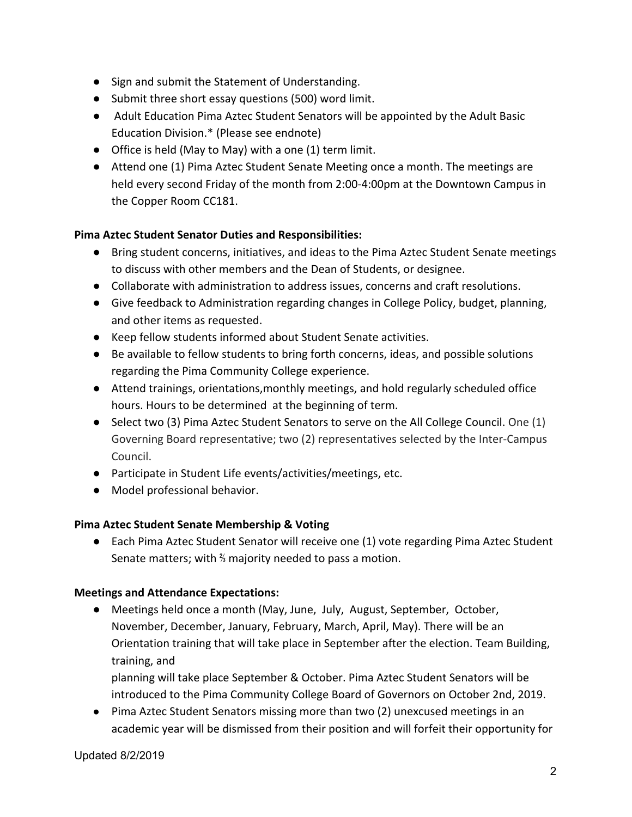- Sign and submit the Statement of Understanding.
- Submit three short essay questions (500) word limit.
- Adult Education Pima Aztec Student Senators will be appointed by the Adult Basic Education Division.\* (Please see endnote)
- Office is held (May to May) with a one (1) term limit.
- Attend one (1) Pima Aztec Student Senate Meeting once a month. The meetings are held every second Friday of the month from 2:00-4:00pm at the Downtown Campus in the Copper Room CC181.

# **Pima Aztec Student Senator Duties and Responsibilities:**

- Bring student concerns, initiatives, and ideas to the Pima Aztec Student Senate meetings to discuss with other members and the Dean of Students, or designee.
- Collaborate with administration to address issues, concerns and craft resolutions.
- Give feedback to Administration regarding changes in College Policy, budget, planning, and other items as requested.
- Keep fellow students informed about Student Senate activities.
- Be available to fellow students to bring forth concerns, ideas, and possible solutions regarding the Pima Community College experience.
- Attend trainings, orientations,monthly meetings, and hold regularly scheduled office hours. Hours to be determined at the beginning of term.
- Select two (3) Pima Aztec Student Senators to serve on the All College Council. One (1) Governing Board representative; two (2) representatives selected by the Inter-Campus Council.
- Participate in Student Life events/activities/meetings, etc.
- Model professional behavior.

# **Pima Aztec Student Senate Membership & Voting**

● Each Pima Aztec Student Senator will receive one (1) vote regarding Pima Aztec Student Senate matters; with ⅔ majority needed to pass a motion.

# **Meetings and Attendance Expectations:**

● Meetings held once a month (May, June, July, August, September, October, November, December, January, February, March, April, May). There will be an Orientation training that will take place in September after the election. Team Building, training, and

planning will take place September & October. Pima Aztec Student Senators will be introduced to the Pima Community College Board of Governors on October 2nd, 2019.

● Pima Aztec Student Senators missing more than two (2) unexcused meetings in an academic year will be dismissed from their position and will forfeit their opportunity for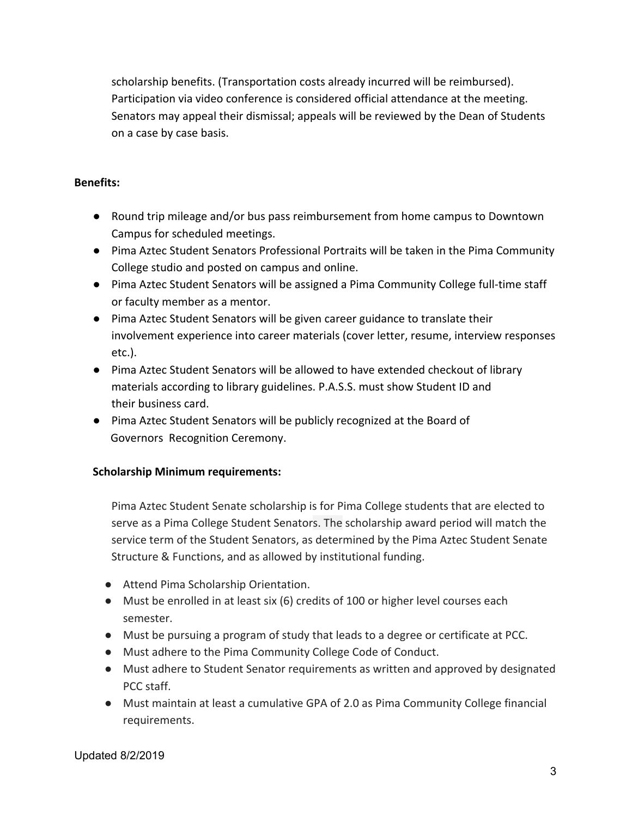scholarship benefits. (Transportation costs already incurred will be reimbursed). Participation via video conference is considered official attendance at the meeting. Senators may appeal their dismissal; appeals will be reviewed by the Dean of Students on a case by case basis.

### **Benefits:**

- Round trip mileage and/or bus pass reimbursement from home campus to Downtown Campus for scheduled meetings.
- Pima Aztec Student Senators Professional Portraits will be taken in the Pima Community College studio and posted on campus and online.
- Pima Aztec Student Senators will be assigned a Pima Community College full-time staff or faculty member as a mentor.
- Pima Aztec Student Senators will be given career guidance to translate their involvement experience into career materials (cover letter, resume, interview responses etc.).
- Pima Aztec Student Senators will be allowed to have extended checkout of library materials according to library guidelines. P.A.S.S. must show Student ID and their business card.
- Pima Aztec Student Senators will be publicly recognized at the Board of Governors Recognition Ceremony.

# **Scholarship Minimum requirements:**

Pima Aztec Student Senate scholarship is for Pima College students that are elected to serve as a Pima College Student Senators. The scholarship award period will match the service term of the Student Senators, as determined by the Pima Aztec Student Senate Structure & Functions, and as allowed by institutional funding.

- Attend Pima Scholarship Orientation.
- Must be enrolled in at least six (6) credits of 100 or higher level courses each semester.
- Must be pursuing a program of study that leads to a degree or certificate at PCC.
- Must adhere to the Pima Community College Code of Conduct.
- Must adhere to Student Senator requirements as written and approved by designated PCC staff.
- Must maintain at least a cumulative GPA of 2.0 as Pima Community College financial requirements.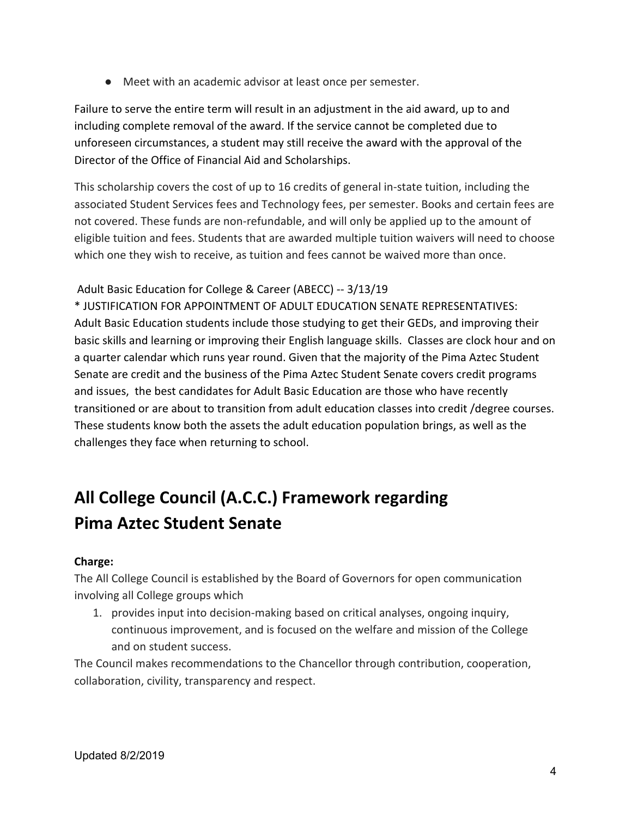● Meet with an academic advisor at least once per semester.

Failure to serve the entire term will result in an adjustment in the aid award, up to and including complete removal of the award. If the service cannot be completed due to unforeseen circumstances, a student may still receive the award with the approval of the Director of the Office of Financial Aid and Scholarships.

This scholarship covers the cost of up to 16 credits of general in-state tuition, including the associated Student Services fees and Technology fees, per semester. Books and certain fees are not covered. These funds are non-refundable, and will only be applied up to the amount of eligible tuition and fees. Students that are awarded multiple tuition waivers will need to choose which one they wish to receive, as tuition and fees cannot be waived more than once.

### Adult Basic Education for College & Career (ABECC) -- 3/13/19

\* JUSTIFICATION FOR APPOINTMENT OF ADULT EDUCATION SENATE REPRESENTATIVES: Adult Basic Education students include those studying to get their GEDs, and improving their basic skills and learning or improving their English language skills. Classes are clock hour and on a quarter calendar which runs year round. Given that the majority of the Pima Aztec Student Senate are credit and the business of the Pima Aztec Student Senate covers credit programs and issues, the best candidates for Adult Basic Education are those who have recently transitioned or are about to transition from adult education classes into credit /degree courses. These students know both the assets the adult education population brings, as well as the challenges they face when returning to school.

# **All College Council (A.C.C.) Framework regarding Pima Aztec Student Senate**

### **Charge:**

The All College Council is established by the Board of Governors for open communication involving all College groups which

1. provides input into decision-making based on critical analyses, ongoing inquiry, continuous improvement, and is focused on the welfare and mission of the College and on student success.

The Council makes recommendations to the Chancellor through contribution, cooperation, collaboration, civility, transparency and respect.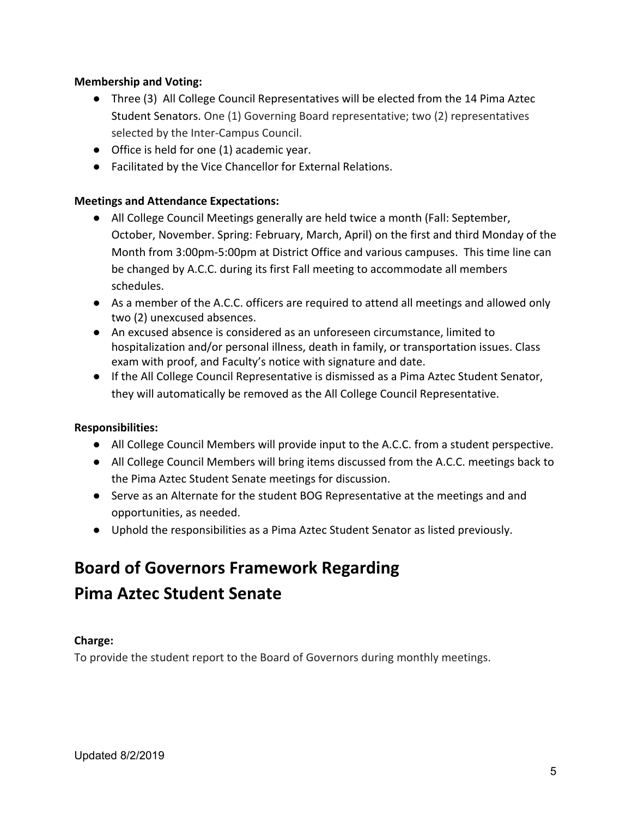### **Membership and Voting:**

- Three (3) All College Council Representatives will be elected from the 14 Pima Aztec Student Senators. One (1) Governing Board representative; two (2) representatives selected by the Inter-Campus Council.
- Office is held for one (1) academic year.
- Facilitated by the Vice Chancellor for External Relations.

### **Meetings and Attendance Expectations:**

- All College Council Meetings generally are held twice a month (Fall: September, October, November. Spring: February, March, April) on the first and third Monday of the Month from 3:00pm-5:00pm at District Office and various campuses. This time line can be changed by A.C.C. during its first Fall meeting to accommodate all members schedules.
- As a member of the A.C.C. officers are required to attend all meetings and allowed only two (2) unexcused absences.
- An excused absence is considered as an unforeseen circumstance, limited to hospitalization and/or personal illness, death in family, or transportation issues. Class exam with proof, and Faculty's notice with signature and date.
- If the All College Council Representative is dismissed as a Pima Aztec Student Senator, they will automatically be removed as the All College Council Representative.

### **Responsibilities:**

- All College Council Members will provide input to the A.C.C. from a student perspective.
- All College Council Members will bring items discussed from the A.C.C. meetings back to the Pima Aztec Student Senate meetings for discussion.
- Serve as an Alternate for the student BOG Representative at the meetings and and opportunities, as needed.
- Uphold the responsibilities as a Pima Aztec Student Senator as listed previously.

# **Board of Governors Framework Regarding Pima Aztec Student Senate**

### **Charge:**

To provide the student report to the Board of Governors during monthly meetings.